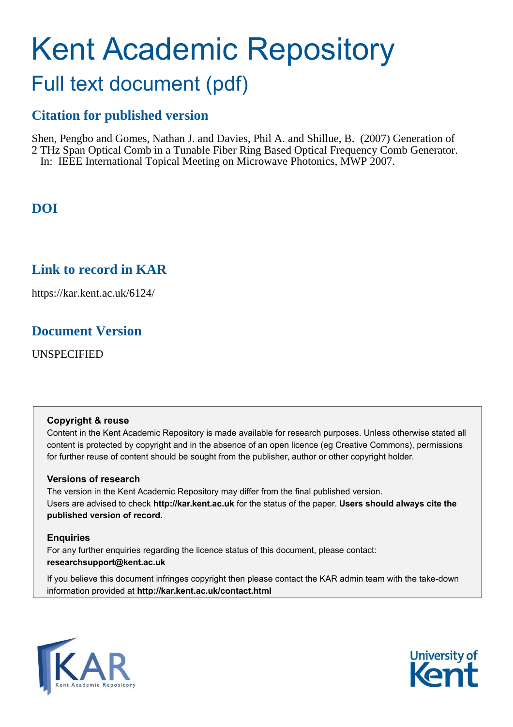# Kent Academic Repository

# Full text document (pdf)

## **Citation for published version**

Shen, Pengbo and Gomes, Nathan J. and Davies, Phil A. and Shillue, B. (2007) Generation of 2 THz Span Optical Comb in a Tunable Fiber Ring Based Optical Frequency Comb Generator. In: IEEE International Topical Meeting on Microwave Photonics, MWP 2007.

# **DOI**

### **Link to record in KAR**

https://kar.kent.ac.uk/6124/

### **Document Version**

UNSPECIFIED

### **Copyright & reuse**

Content in the Kent Academic Repository is made available for research purposes. Unless otherwise stated all content is protected by copyright and in the absence of an open licence (eg Creative Commons), permissions for further reuse of content should be sought from the publisher, author or other copyright holder.

### **Versions of research**

The version in the Kent Academic Repository may differ from the final published version. Users are advised to check **http://kar.kent.ac.uk** for the status of the paper. **Users should always cite the published version of record.**

### **Enquiries**

For any further enquiries regarding the licence status of this document, please contact: **researchsupport@kent.ac.uk**

If you believe this document infringes copyright then please contact the KAR admin team with the take-down information provided at **http://kar.kent.ac.uk/contact.html**



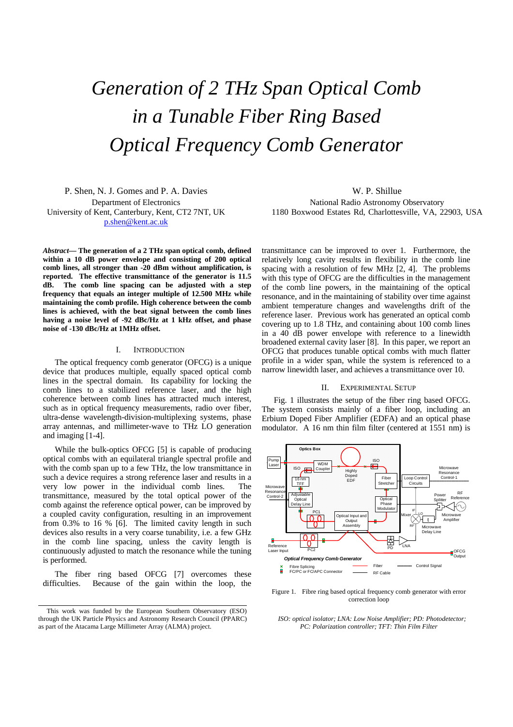# *Generation of 2 THz Span Optical Comb in a Tunable Fiber Ring Based Optical Frequency Comb Generator*

P. Shen, N. J. Gomes and P. A. Davies Department of Electronics University of Kent, Canterbury, Kent, CT2 7NT, UK p.shen@kent.ac.uk

*Abstract***— The generation of a 2 THz span optical comb, defined**  within a 10 dB power envelope and consisting of 200 optical **comb lines, all stronger than -20 dBm without amplification, is reported. The effective transmittance of the generator is 11.5 dB. The comb line spacing can be adjusted with a step frequency that equals an integer multiple of 12.500 MHz while maintaining the comb profile. High coherence between the comb lines is achieved, with the beat signal between the comb lines having a noise level of -92 dBc/Hz at 1 kHz offset, and phase noise of -130 dBc/Hz at 1MHz offset.** 

### I. INTRODUCTION

The optical frequency comb generator (OFCG) is a unique device that produces multiple, equally spaced optical comb lines in the spectral domain. Its capability for locking the comb lines to a stabilized reference laser, and the high coherence between comb lines has attracted much interest, such as in optical frequency measurements, radio over fiber, ultra-dense wavelength-division-multiplexing systems, phase array antennas, and millimeter-wave to THz LO generation and imaging [1-4].

While the bulk-optics OFCG [5] is capable of producing optical combs with an equilateral triangle spectral profile and with the comb span up to a few THz, the low transmittance in such a device requires a strong reference laser and results in a very low power in the individual comb lines. The transmittance, measured by the total optical power of the comb against the reference optical power, can be improved by a coupled cavity configuration, resulting in an improvement from 0.3% to 16 % [6]. The limited cavity length in such devices also results in a very coarse tunability, i.e. a few GHz in the comb line spacing, unless the cavity length is continuously adjusted to match the resonance while the tuning is performed.

The fiber ring based OFCG [7] overcomes these difficulties. Because of the gain within the loop, the

W. P. Shillue National Radio Astronomy Observatory 1180 Boxwood Estates Rd, Charlottesville, VA, 22903, USA

transmittance can be improved to over 1. Furthermore, the relatively long cavity results in flexibility in the comb line spacing with a resolution of few MHz [2, 4]. The problems with this type of OFCG are the difficulties in the management of the comb line powers, in the maintaining of the optical resonance, and in the maintaining of stability over time against ambient temperature changes and wavelengths drift of the reference laser. Previous work has generated an optical comb covering up to 1.8 THz, and containing about 100 comb lines in a 40 dB power envelope with reference to a linewidth broadened external cavity laser [8]. In this paper, we report an OFCG that produces tunable optical combs with much flatter profile in a wider span, while the system is referenced to a narrow linewidth laser, and achieves a transmittance over 10.

### II. EXPERIMENTAL SETUP

Fig. 1 illustrates the setup of the fiber ring based OFCG. The system consists mainly of a fiber loop, including an Erbium Doped Fiber Amplifier (EDFA) and an optical phase modulator. A 16 nm thin film filter (centered at 1551 nm) is



Figure 1. Fibre ring based optical frequency comb generator with error correction loop

 *ISO: optical isolator; LNA: Low Noise Amplifier; PD: Photodetector; PC: Polarization controller; TFT: Thin Film Filter* 

This work was funded by the European Southern Observatory (ESO) through the UK Particle Physics and Astronomy Research Council (PPARC) as part of the Atacama Large Millimeter Array (ALMA) project.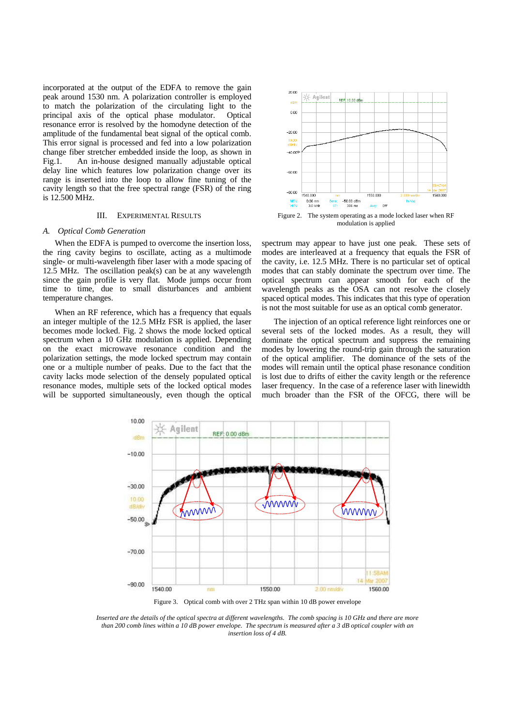incorporated at the output of the EDFA to remove the gain peak around 1530 nm. A polarization controller is employed to match the polarization of the circulating light to the principal axis of the optical phase modulator. Optical resonance error is resolved by the homodyne detection of the amplitude of the fundamental beat signal of the optical comb. This error signal is processed and fed into a low polarization change fiber stretcher embedded inside the loop, as shown in Fig.1. An in-house designed manually adjustable optical delay line which features low polarization change over its range is inserted into the loop to allow fine tuning of the cavity length so that the free spectral range (FSR) of the ring is 12.500 MHz.

### III. EXPERIMENTAL RESULTS

#### *A. Optical Comb Generation*

When the EDFA is pumped to overcome the insertion loss, the ring cavity begins to oscillate, acting as a multimode single- or multi-wavelength fiber laser with a mode spacing of 12.5 MHz. The oscillation peak(s) can be at any wavelength since the gain profile is very flat. Mode jumps occur from time to time, due to small disturbances and ambient temperature changes.

When an RF reference, which has a frequency that equals an integer multiple of the 12.5 MHz FSR is applied, the laser becomes mode locked. Fig. 2 shows the mode locked optical spectrum when a 10 GHz modulation is applied. Depending on the exact microwave resonance condition and the polarization settings, the mode locked spectrum may contain one or a multiple number of peaks. Due to the fact that the cavity lacks mode selection of the densely populated optical resonance modes, multiple sets of the locked optical modes will be supported simultaneously, even though the optical



Figure 2. The system operating as a mode locked laser when RF modulation is applied

spectrum may appear to have just one peak. These sets of modes are interleaved at a frequency that equals the FSR of the cavity, i.e. 12.5 MHz. There is no particular set of optical modes that can stably dominate the spectrum over time. The optical spectrum can appear smooth for each of the wavelength peaks as the OSA can not resolve the closely spaced optical modes. This indicates that this type of operation is not the most suitable for use as an optical comb generator.

The injection of an optical reference light reinforces one or several sets of the locked modes. As a result, they will dominate the optical spectrum and suppress the remaining modes by lowering the round-trip gain through the saturation of the optical amplifier. The dominance of the sets of the modes will remain until the optical phase resonance condition is lost due to drifts of either the cavity length or the reference laser frequency. In the case of a reference laser with linewidth much broader than the FSR of the OFCG, there will be



*Inserted are the details of the optical spectra at different wavelengths. The comb spacing is 10 GHz and there are more than 200 comb lines within a 10 dB power envelope. The spectrum is measured after a 3 dB optical coupler with an insertion loss of 4 dB.*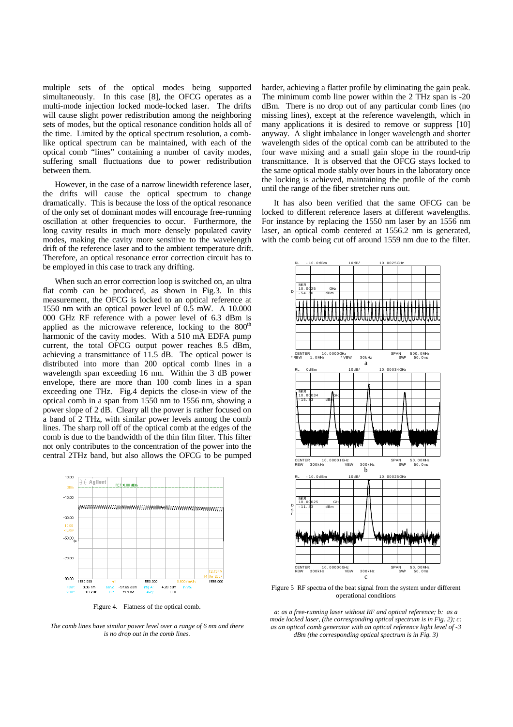multiple sets of the optical modes being supported simultaneously. In this case [8], the OFCG operates as a multi-mode injection locked mode-locked laser. The drifts will cause slight power redistribution among the neighboring sets of modes, but the optical resonance condition holds all of the time. Limited by the optical spectrum resolution, a comblike optical spectrum can be maintained, with each of the optical comb "lines" containing a number of cavity modes, suffering small fluctuations due to power redistribution between them.

However, in the case of a narrow linewidth reference laser, the drifts will cause the optical spectrum to change dramatically. This is because the loss of the optical resonance of the only set of dominant modes will encourage free-running oscillation at other frequencies to occur. Furthermore, the long cavity results in much more densely populated cavity modes, making the cavity more sensitive to the wavelength drift of the reference laser and to the ambient temperature drift. Therefore, an optical resonance error correction circuit has to be employed in this case to track any drifting.

When such an error correction loop is switched on, an ultra flat comb can be produced, as shown in Fig.3. In this measurement, the OFCG is locked to an optical reference at 1550 nm with an optical power level of 0.5 mW. A 10.000 000 GHz RF reference with a power level of 6.3 dBm is applied as the microwave reference, locking to the  $800<sup>th</sup>$ harmonic of the cavity modes. With a 510 mA EDFA pump current, the total OFCG output power reaches 8.5 dBm, achieving a transmittance of 11.5 dB. The optical power is distributed into more than 200 optical comb lines in a wavelength span exceeding 16 nm. Within the 3 dB power envelope, there are more than 100 comb lines in a span exceeding one THz. Fig.4 depicts the close-in view of the optical comb in a span from 1550 nm to 1556 nm, showing a power slope of 2 dB. Cleary all the power is rather focused on a band of 2 THz, with similar power levels among the comb lines. The sharp roll off of the optical comb at the edges of the comb is due to the bandwidth of the thin film filter. This filter not only contributes to the concentration of the power into the central 2THz band, but also allows the OFCG to be pumped



Figure 4. Flatness of the optical comb.

*The comb lines have similar power level over a range of 6 nm and there is no drop out in the comb lines.*

harder, achieving a flatter profile by eliminating the gain peak. The minimum comb line power within the 2 THz span is -20 dBm. There is no drop out of any particular comb lines (no missing lines), except at the reference wavelength, which in many applications it is desired to remove or suppress [10] anyway. A slight imbalance in longer wavelength and shorter wavelength sides of the optical comb can be attributed to the four wave mixing and a small gain slope in the round-trip transmittance. It is observed that the OFCG stays locked to the same optical mode stably over hours in the laboratory once the locking is achieved, maintaining the profile of the comb until the range of the fiber stretcher runs out.

It has also been verified that the same OFCG can be locked to different reference lasers at different wavelengths. For instance by replacing the 1550 nm laser by an 1556 nm laser, an optical comb centered at 1556.2 nm is generated, with the comb being cut off around 1559 nm due to the filter.



Figure 5 RF spectra of the beat signal from the system under different operational conditions

*a: as a free-running laser without RF and optical reference; b: as a mode locked laser, (the corresponding optical spectrum is in Fig. 2); c: as an optical comb generator with an optical reference light level of -3 dBm (the corresponding optical spectrum is in Fig. 3)*